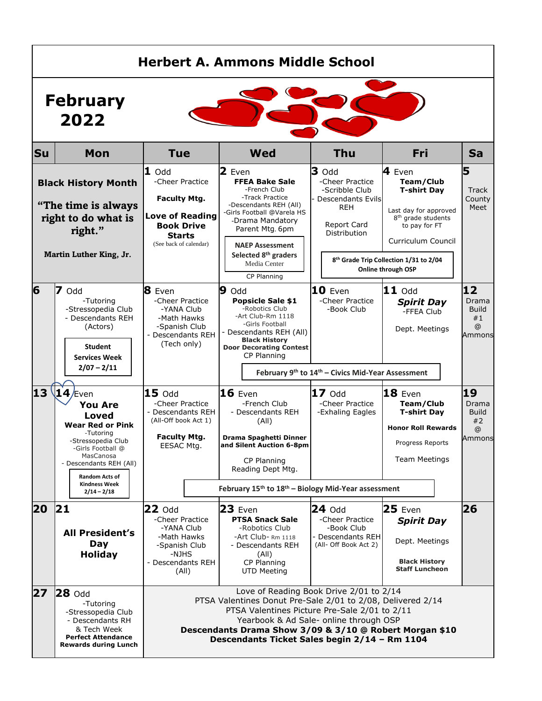